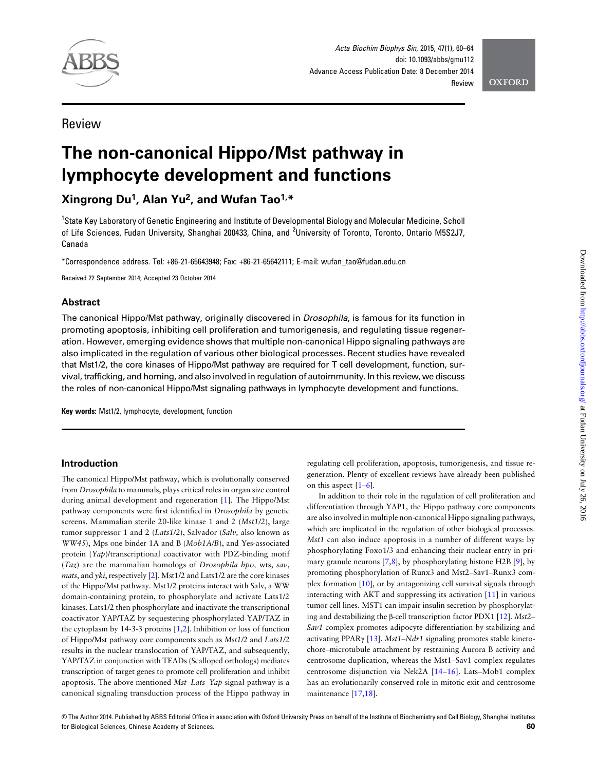

Acta Biochim Biophys Sin, 2015, 47(1), 60–64 doi: 10.1093/abbs/gmu112 Advance Access Publication Date: 8 December 2014 **Review** 

**OXFORD** 

# Review

# The non-canonical Hippo/Mst pathway in lymphocyte development and functions

# Xingrong Du<sup>1</sup>, Alan Yu<sup>2</sup>, and Wufan Tao<sup>1,\*</sup>

<sup>1</sup>State Key Laboratory of Genetic Engineering and Institute of Developmental Biology and Molecular Medicine, Scholl of Life Sciences, Fudan University, Shanghai 200433, China, and <sup>2</sup>University of Toronto, Toronto, Ontario M5S2J7, Canada

\*Correspondence address. Tel: +86-21-65643948; Fax: +86-21-65642111; E-mail: wufan\_tao@fudan.edu.cn

Received 22 September 2014; Accepted 23 October 2014

# Abstract

The canonical Hippo/Mst pathway, originally discovered in *Drosophila*, is famous for its function in promoting apoptosis, inhibiting cell proliferation and tumorigenesis, and regulating tissue regeneration. However, emerging evidence shows that multiple non-canonical Hippo signaling pathways are also implicated in the regulation of various other biological processes. Recent studies have revealed that Mst1/2, the core kinases of Hippo/Mst pathway are required for T cell development, function, survival, trafficking, and homing, and also involved in regulation of autoimmunity. In this review, we discuss the roles of non-canonical Hippo/Mst signaling pathways in lymphocyte development and functions.

Key words: Mst1/2, lymphocyte, development, function

# Introduction

The canonical Hippo/Mst pathway, which is evolutionally conserved from Drosophila to mammals, plays critical roles in organ size control during animal development and regeneration [\[1\]](#page-3-0). The Hippo/Mst pathway components were first identified in Drosophila by genetic screens. Mammalian sterile 20-like kinase 1 and 2 (Mst1/2), large tumor suppressor 1 and 2 (Lats1/2), Salvador (Salv, also known as WW45), Mps one binder 1A and B (Mob1A/B), and Yes-associated protein (Yap)/transcriptional coactivator with PDZ-binding motif  $(Taz)$  are the mammalian homologs of Drosophila hpo, wts, sav, *mats*, and *yki*, respectively  $[2]$  $[2]$  $[2]$ . Mst1/2 and Lats1/2 are the core kinases of the Hippo/Mst pathway. Mst1/2 proteins interact with Salv, a WW domain-containing protein, to phosphorylate and activate Lats1/2 kinases. Lats1/2 then phosphorylate and inactivate the transcriptional coactivator YAP/TAZ by sequestering phosphorylated YAP/TAZ in the cytoplasm by 14-3-3 proteins [[1,2\]](#page-3-0). Inhibition or loss of function of Hippo/Mst pathway core components such as Mst1/2 and Lats1/2 results in the nuclear translocation of YAP/TAZ, and subsequently, YAP/TAZ in conjunction with TEADs (Scalloped orthologs) mediates transcription of target genes to promote cell proliferation and inhibit apoptosis. The above mentioned Mst–Lats–Yap signal pathway is a canonical signaling transduction process of the Hippo pathway in regulating cell proliferation, apoptosis, tumorigenesis, and tissue regeneration. Plenty of excellent reviews have already been published on this aspect [\[1](#page-3-0)–[6\]](#page-4-0).

In addition to their role in the regulation of cell proliferation and differentiation through YAP1, the Hippo pathway core components are also involved in multiple non-canonical Hippo signaling pathways, which are implicated in the regulation of other biological processes. Mst1 can also induce apoptosis in a number of different ways: by phosphorylating Foxo1/3 and enhancing their nuclear entry in primary granule neurons [[7,8\]](#page-4-0), by phosphorylating histone H2B [\[9\]](#page-4-0), by promoting phosphorylation of Runx3 and Mst2–Sav1–Runx3 complex formation [[10\]](#page-4-0), or by antagonizing cell survival signals through interacting with AKT and suppressing its activation [\[11](#page-4-0)] in various tumor cell lines. MST1 can impair insulin secretion by phosphorylating and destabilizing the β-cell transcription factor PDX1 [\[12](#page-4-0)]. Mst2– Sav1 complex promotes adipocyte differentiation by stabilizing and activating PPAR $\gamma$  [[13\]](#page-4-0). Mst1–Ndr1 signaling promotes stable kinetochore–microtubule attachment by restraining Aurora B activity and centrosome duplication, whereas the Mst1–Sav1 complex regulates centrosome disjunction via Nek2A [\[14](#page-4-0)–[16\]](#page-4-0). Lats–Mob1 complex has an evolutionarily conserved role in mitotic exit and centrosome maintenance [[17,18\]](#page-4-0).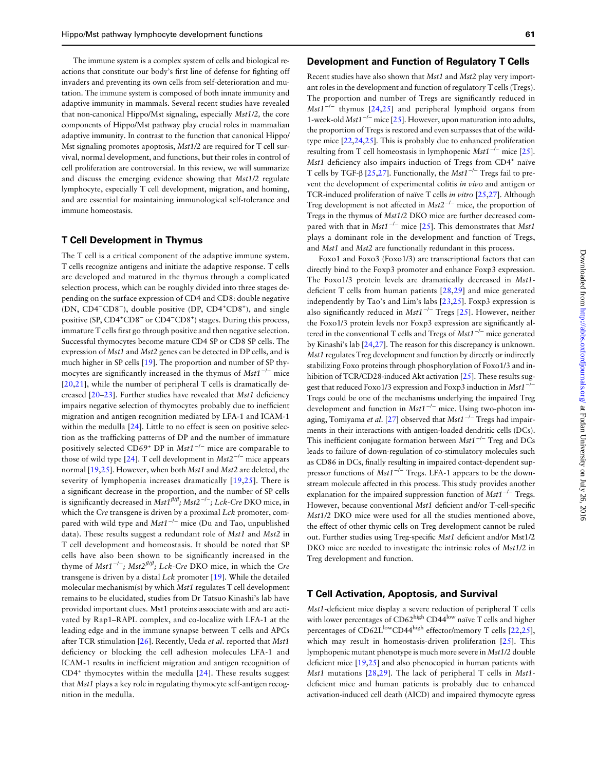The immune system is a complex system of cells and biological reactions that constitute our body's first line of defense for fighting off invaders and preventing its own cells from self-deterioration and mutation. The immune system is composed of both innate immunity and adaptive immunity in mammals. Several recent studies have revealed that non-canonical Hippo/Mst signaling, especially Mst1/2, the core components of Hippo/Mst pathway play crucial roles in mammalian adaptive immunity. In contrast to the function that canonical Hippo/ Mst signaling promotes apoptosis, Mst1/2 are required for T cell survival, normal development, and functions, but their roles in control of cell proliferation are controversial. In this review, we will summarize and discuss the emerging evidence showing that Mst1/2 regulate lymphocyte, especially T cell development, migration, and homing, and are essential for maintaining immunological self-tolerance and immune homeostasis.

#### T Cell Development in Thymus

The T cell is a critical component of the adaptive immune system. T cells recognize antigens and initiate the adaptive response. T cells are developed and matured in the thymus through a complicated selection process, which can be roughly divided into three stages depending on the surface expression of CD4 and CD8: double negative (DN, CD4<sup>-</sup>CD8<sup>-</sup>), double positive (DP, CD4<sup>+</sup>CD8<sup>+</sup>), and single positive (SP, CD4<sup>+</sup>CD8<sup>-</sup> or CD4<sup>-</sup>CD8<sup>+</sup>) stages. During this process, immature T cells first go through positive and then negative selection. Successful thymocytes become mature CD4 SP or CD8 SP cells. The expression of Mst1 and Mst2 genes can be detected in DP cells, and is much higher in SP cells [[19\]](#page-4-0). The proportion and number of SP thymocytes are significantly increased in the thymus of  $Mst1^{-/-}$  mice [[20,21](#page-4-0)], while the number of peripheral T cells is dramatically decreased [[20](#page-4-0)–[23\]](#page-4-0). Further studies have revealed that Mst1 deficiency impairs negative selection of thymocytes probably due to inefficient migration and antigen recognition mediated by LFA-1 and ICAM-1 within the medulla [[24\]](#page-4-0). Little to no effect is seen on positive selection as the trafficking patterns of DP and the number of immature positively selected CD69<sup>+</sup> DP in Mst1<sup>-/-</sup> mice are comparable to those of wild type [[24\]](#page-4-0). T cell development in  $Mst2^{-/-}$  mice appears normal [[19](#page-4-0),[25\]](#page-4-0). However, when both *Mst1* and *Mst2* are deleted, the severity of lymphopenia increases dramatically [[19](#page-4-0),[25\]](#page-4-0). There is a significant decrease in the proportion, and the number of SP cells is significantly decreased in  $\mathit{Mst1}^{\beta\beta\beta}; \mathit{Mst2}^{-/-}; \mathit{Lck-Cre\,DKO\, mice},$  in which the Cre transgene is driven by a proximal Lck promoter, compared with wild type and Mst1<sup>-/-</sup> mice (Du and Tao, unpublished data). These results suggest a redundant role of Mst1 and Mst2 in T cell development and homeostasis. It should be noted that SP cells have also been shown to be significantly increased in the thyme of Mst1<sup>-/-</sup>; Mst2<sup>fl/fl</sup>; Lck-Cre DKO mice, in which the Cre transgene is driven by a distal  $Lck$  promoter [[19\]](#page-4-0). While the detailed molecular mechanism(s) by which Mst1 regulates T cell development remains to be elucidated, studies from Dr Tatsuo Kinashi's lab have provided important clues. Mst1 proteins associate with and are activated by Rap1–RAPL complex, and co-localize with LFA-1 at the leading edge and in the immune synapse between T cells and APCs after TCR stimulation [[26\]](#page-4-0). Recently, Ueda et al. reported that Mst1 deficiency or blocking the cell adhesion molecules LFA-1 and ICAM-1 results in inefficient migration and antigen recognition of  $CD4<sup>+</sup>$  thymocytes within the medulla [\[24\]](#page-4-0). These results suggest that Mst1 plays a key role in regulating thymocyte self-antigen recognition in the medulla.

#### Development and Function of Regulatory T Cells

Recent studies have also shown that Mst1 and Mst2 play very important roles in the development and function of regulatory T cells (Tregs). The proportion and number of Tregs are significantly reduced in Mst1<sup>-/-</sup> thymus [[24,25](#page-4-0)] and peripheral lymphoid organs from 1-week-old Mst1−/<sup>−</sup> mice [\[25](#page-4-0)]. However, upon maturation into adults, the proportion of Tregs is restored and even surpasses that of the wildtype mice [[22](#page-4-0),[24](#page-4-0),[25](#page-4-0)]. This is probably due to enhanced proliferation resulting from T cell homeostasis in lymphopenic Mst $1^{-/-}$  mice [[25](#page-4-0)]. Mst1 deficiency also impairs induction of Tregs from CD4<sup>+</sup> naïve T cells by TGF-β [[25,27\]](#page-4-0). Functionally, the Mst1<sup>-/-</sup> Tregs fail to prevent the development of experimental colitis in vivo and antigen or TCR-induced proliferation of naïve T cells in vitro [\[25,27](#page-4-0)]. Although Treg development is not affected in  $Mst2^{-/-}$  mice, the proportion of Tregs in the thymus of Mst1/2 DKO mice are further decreased com-pared with that in Mst1<sup>-/-</sup> mice [[25\]](#page-4-0). This demonstrates that Mst1 plays a dominant role in the development and function of Tregs, and Mst1 and Mst2 are functionally redundant in this process.

Foxo1 and Foxo3 (Foxo1/3) are transcriptional factors that can directly bind to the Foxp3 promoter and enhance Foxp3 expression. The Foxo1/3 protein levels are dramatically decreased in Mst1 deficient T cells from human patients [\[28](#page-4-0),[29\]](#page-4-0) and mice generated independently by Tao's and Lim's labs [[23,25\]](#page-4-0). Foxp3 expression is also significantly reduced in Mst1<sup>-/-</sup> Tregs [[25\]](#page-4-0). However, neither the Foxo1/3 protein levels nor Foxp3 expression are significantly altered in the conventional T cells and Tregs of Mst1−/<sup>−</sup> mice generated by Kinashi's lab [[24,27](#page-4-0)]. The reason for this discrepancy is unknown. Mst1 regulates Treg development and function by directly or indirectly stabilizing Foxo proteins through phosphorylation of Foxo1/3 and in-hibition of TCR/CD28-induced Akt activation [[25\]](#page-4-0). These results suggest that reduced Foxo1/3 expression and Foxp3 induction in Mst1−/<sup>−</sup> Tregs could be one of the mechanisms underlying the impaired Treg development and function in Mst1−/<sup>−</sup> mice. Using two-photon im-aging, Tomiyama et al. [[27\]](#page-4-0) observed that Mst1<sup>-/−</sup> Tregs had impairments in their interactions with antigen-loaded dendritic cells (DCs). This inefficient conjugate formation between Mst1<sup>-/-</sup> Treg and DCs leads to failure of down-regulation of co-stimulatory molecules such as CD86 in DCs, finally resulting in impaired contact-dependent suppressor functions of Mst1<sup>-/-</sup> Tregs. LFA-1 appears to be the downstream molecule affected in this process. This study provides another explanation for the impaired suppression function of Mst1<sup>-/−</sup> Tregs. However, because conventional Mst1 deficient and/or T-cell-specific Mst1/2 DKO mice were used for all the studies mentioned above, the effect of other thymic cells on Treg development cannot be ruled out. Further studies using Treg-specific Mst1 deficient and/or Mst1/2 DKO mice are needed to investigate the intrinsic roles of Mst1/2 in Treg development and function.

# T Cell Activation, Apoptosis, and Survival

Mst1-deficient mice display a severe reduction of peripheral T cells with lower percentages of CD62high CD44low naïve T cells and higher percentages of CD62L<sup>low</sup>CD44<sup>high</sup> effector/memory T cells [\[22,25](#page-4-0)], which may result in homeostasis-driven proliferation [[25\]](#page-4-0). This lymphopenic mutant phenotype is much more severe in Mst1/2 double deficient mice [[19,25\]](#page-4-0) and also phenocopied in human patients with Mst1 mutations [[28,29](#page-4-0)]. The lack of peripheral T cells in Mst1deficient mice and human patients is probably due to enhanced activation-induced cell death (AICD) and impaired thymocyte egress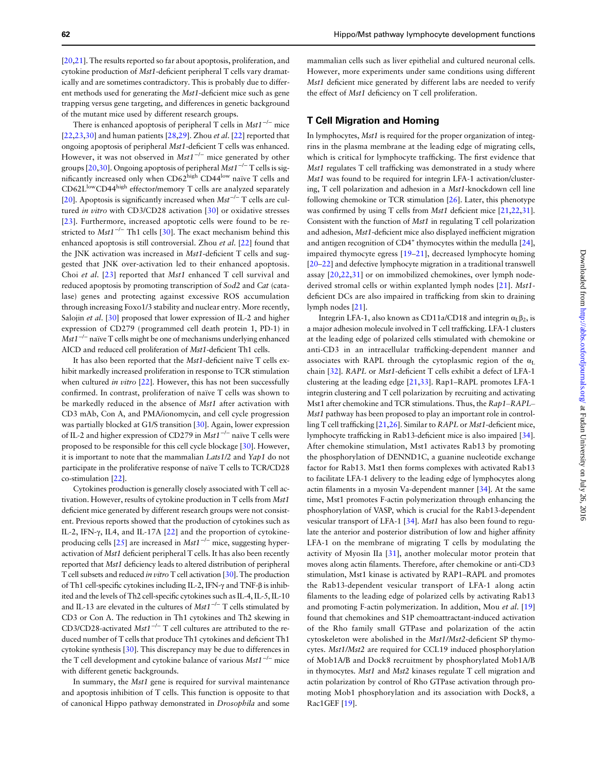[[20](#page-4-0),[21](#page-4-0)]. The results reported so far about apoptosis, proliferation, and cytokine production of Mst1-deficient peripheral T cells vary dramatically and are sometimes contradictory. This is probably due to different methods used for generating the Mst1-deficient mice such as gene trapping versus gene targeting, and differences in genetic background of the mutant mice used by different research groups.

There is enhanced apoptosis of peripheral T cells in  $Mst1^{-/-}$  mice  $[22,23,30]$  $[22,23,30]$  $[22,23,30]$  $[22,23,30]$  $[22,23,30]$  $[22,23,30]$  $[22,23,30]$  and human patients  $[28,29]$ . Zhou *et al.*  $[22]$  $[22]$  reported that ongoing apoptosis of peripheral Mst1-deficient T cells was enhanced. However, it was not observed in Mst1<sup>-/-</sup> mice generated by other groups [\[20,30](#page-4-0)]. Ongoing apoptosis of peripheral Mst1<sup>-/-</sup> T cells is significantly increased only when CD62high CD44<sup>low</sup> naïve T cells and CD62L<sup>low</sup>CD44<sup>high</sup> effector/memory T cells are analyzed separately [[20](#page-4-0)]. Apoptosis is significantly increased when  $Mst^{-/-}$  T cells are cul-tured in vitro with CD3/CD28 activation [[30\]](#page-4-0) or oxidative stresses [[23\]](#page-4-0). Furthermore, increased apoptotic cells were found to be re-stricted to Mst1<sup>-/-</sup> Th1 cells [\[30](#page-4-0)]. The exact mechanism behind this enhanced apoptosis is still controversial. Zhou et al. [\[22\]](#page-4-0) found that the JNK activation was increased in Mst1-deficient T cells and suggested that JNK over-activation led to their enhanced apoptosis. Choi et al. [[23\]](#page-4-0) reported that Mst1 enhanced T cell survival and reduced apoptosis by promoting transcription of Sod2 and Cat (catalase) genes and protecting against excessive ROS accumulation through increasing Foxo1/3 stability and nuclear entry. More recently, Salojin et al. [[30\]](#page-4-0) proposed that lower expression of IL-2 and higher expression of CD279 (programmed cell death protein 1, PD-1) in Mst1<sup>-/-</sup> naïve T cells might be one of mechanisms underlying enhanced AICD and reduced cell proliferation of Mst1-deficient Th1 cells.

It has also been reported that the Mst1-deficient naïve T cells exhibit markedly increased proliferation in response to TCR stimulation when cultured in vitro [[22\]](#page-4-0). However, this has not been successfully confirmed. In contrast, proliferation of naïve T cells was shown to be markedly reduced in the absence of Mst1 after activation with CD3 mAb, Con A, and PMA/ionomycin, and cell cycle progression was partially blocked at G1/S transition [\[30\]](#page-4-0). Again, lower expression of IL-2 and higher expression of CD279 in Mst1−/<sup>−</sup> naïve T cells were proposed to be responsible for this cell cycle blockage [[30](#page-4-0)]. However, it is important to note that the mammalian Lats1/2 and Yap1 do not participate in the proliferative response of naïve T cells to TCR/CD28 co-stimulation [[22](#page-4-0)].

Cytokines production is generally closely associated with T cell activation. However, results of cytokine production in T cells from Mst1 deficient mice generated by different research groups were not consistent. Previous reports showed that the production of cytokines such as IL-2, IFN-γ, IL4, and IL-17A [[22\]](#page-4-0) and the proportion of cytokineproducing cells  $[25]$  $[25]$  are increased in Mst1<sup>-/−</sup> mice, suggesting hyperactivation of Mst1 deficient peripheral T cells. It has also been recently reported that Mst1 deficiency leads to altered distribution of peripheral T cell subsets and reduced in vitro T cell activation [\[30\]](#page-4-0). The production of Th1 cell-specific cytokines including IL-2, IFN-γ and TNF-β is inhibited and the levels of Th2 cell-specific cytokines such as IL-4, IL-5, IL-10 and IL-13 are elevated in the cultures of Mst1<sup>-/-</sup> T cells stimulated by CD3 or Con A. The reduction in Th1 cytokines and Th2 skewing in CD3/CD28-activated Mst1−/<sup>−</sup> T cell cultures are attributed to the reduced number of T cells that produce Th1 cytokines and deficient Th1 cytokine synthesis [[30\]](#page-4-0). This discrepancy may be due to differences in the T cell development and cytokine balance of various Mst1−/<sup>−</sup> mice with different genetic backgrounds.

In summary, the Mst1 gene is required for survival maintenance and apoptosis inhibition of T cells. This function is opposite to that of canonical Hippo pathway demonstrated in Drosophila and some mammalian cells such as liver epithelial and cultured neuronal cells. However, more experiments under same conditions using different Mst1 deficient mice generated by different labs are needed to verify the effect of Mst1 deficiency on T cell proliferation.

# T Cell Migration and Homing

In lymphocytes, Mst1 is required for the proper organization of integrins in the plasma membrane at the leading edge of migrating cells, which is critical for lymphocyte trafficking. The first evidence that Mst1 regulates T cell trafficking was demonstrated in a study where Mst1 was found to be required for integrin LFA-1 activation/clustering, T cell polarization and adhesion in a Mst1-knockdown cell line following chemokine or TCR stimulation [[26\]](#page-4-0). Later, this phenotype was confirmed by using T cells from Mst1 deficient mice [[21](#page-4-0),[22](#page-4-0),[31](#page-4-0)]. Consistent with the function of Mst1 in regulating T cell polarization and adhesion, Mst1-deficient mice also displayed inefficient migration and antigen recognition of CD4<sup>+</sup> thymocytes within the medulla [[24](#page-4-0)], impaired thymocyte egress [[19](#page-4-0)–[21\]](#page-4-0), decreased lymphocyte homing [[20](#page-4-0)–[22](#page-4-0)] and defective lymphocyte migration in a traditional transwell assay [[20,22,31](#page-4-0)] or on immobilized chemokines, over lymph node-derived stromal cells or within explanted lymph nodes [\[21](#page-4-0)]. Mst1deficient DCs are also impaired in trafficking from skin to draining lymph nodes [[21](#page-4-0)].

Integrin LFA-1, also known as CD11a/CD18 and integrin  $\alpha_L \beta_2$ , is a major adhesion molecule involved in T cell trafficking. LFA-1 clusters at the leading edge of polarized cells stimulated with chemokine or anti-CD3 in an intracellular trafficking-dependent manner and associates with RAPL through the cytoplasmic region of the  $\alpha$ <sub>L</sub> chain [[32](#page-4-0)]. RAPL or Mst1-deficient T cells exhibit a defect of LFA-1 clustering at the leading edge [\[21,33\]](#page-4-0). Rap1–RAPL promotes LFA-1 integrin clustering and T cell polarization by recruiting and activating Mst1 after chemokine and TCR stimulations. Thus, the Rap1–RAPL– Mst1 pathway has been proposed to play an important role in controlling T cell trafficking [\[21,26](#page-4-0)]. Similar to RAPL or Mst1-deficient mice, lymphocyte trafficking in Rab13-deficient mice is also impaired [[34](#page-4-0)]. After chemokine stimulation, Mst1 activates Rab13 by promoting the phosphorylation of DENND1C, a guanine nucleotide exchange factor for Rab13. Mst1 then forms complexes with activated Rab13 to facilitate LFA-1 delivery to the leading edge of lymphocytes along actin filaments in a myosin Va-dependent manner [[34\]](#page-4-0). At the same time, Mst1 promotes F-actin polymerization through enhancing the phosphorylation of VASP, which is crucial for the Rab13-dependent vesicular transport of LFA-1 [[34\]](#page-4-0). Mst1 has also been found to regulate the anterior and posterior distribution of low and higher affinity LFA-1 on the membrane of migrating T cells by modulating the activity of Myosin IIa [\[31](#page-4-0)], another molecular motor protein that moves along actin filaments. Therefore, after chemokine or anti-CD3 stimulation, Mst1 kinase is activated by RAP1–RAPL and promotes the Rab13-dependent vesicular transport of LFA-1 along actin filaments to the leading edge of polarized cells by activating Rab13 and promoting F-actin polymerization. In addition, Mou et al. [[19\]](#page-4-0) found that chemokines and S1P chemoattractant-induced activation of the Rho family small GTPase and polarization of the actin cytoskeleton were abolished in the Mst1/Mst2-deficient SP thymocytes. Mst1/Mst2 are required for CCL19 induced phosphorylation of Mob1A/B and Dock8 recruitment by phosphorylated Mob1A/B in thymocytes. Mst1 and Mst2 kinases regulate T cell migration and actin polarization by control of Rho GTPase activation through promoting Mob1 phosphorylation and its association with Dock8, a Rac1GEF [[19\]](#page-4-0).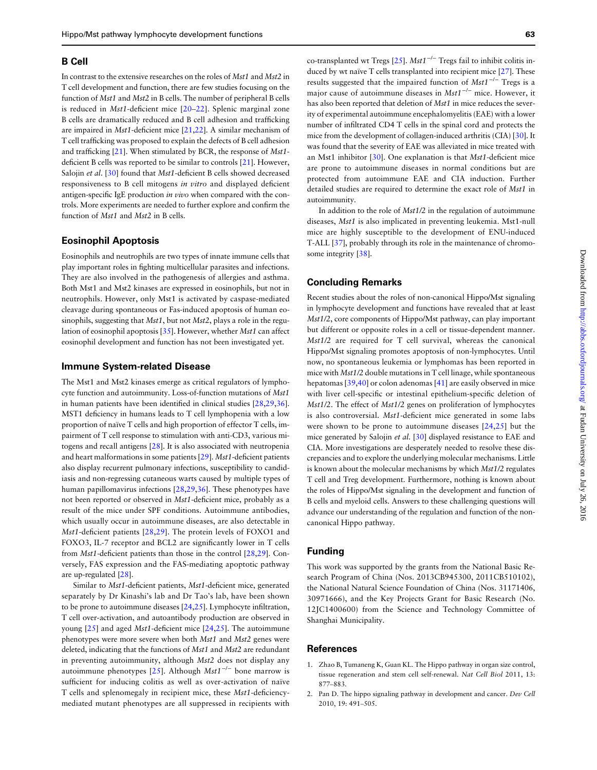## <span id="page-3-0"></span>B Cell

In contrast to the extensive researches on the roles of Mst1 and Mst2 in T cell development and function, there are few studies focusing on the function of Mst1 and Mst2 in B cells. The number of peripheral B cells is reduced in Mst1-deficient mice [[20](#page-4-0)–[22](#page-4-0)]. Splenic marginal zone B cells are dramatically reduced and B cell adhesion and trafficking are impaired in Mst1-deficient mice [[21,22\]](#page-4-0). A similar mechanism of T cell trafficking was proposed to explain the defects of B cell adhesion and trafficking [[21](#page-4-0)]. When stimulated by BCR, the response of Mst1 deficient B cells was reported to be similar to controls [[21](#page-4-0)]. However, Salojin et al. [\[30](#page-4-0)] found that Mst1-deficient B cells showed decreased responsiveness to B cell mitogens in vitro and displayed deficient antigen-specific IgE production in vivo when compared with the controls. More experiments are needed to further explore and confirm the function of *Mst1* and *Mst2* in B cells.

## Eosinophil Apoptosis

Eosinophils and neutrophils are two types of innate immune cells that play important roles in fighting multicellular parasites and infections. They are also involved in the pathogenesis of allergies and asthma. Both Mst1 and Mst2 kinases are expressed in eosinophils, but not in neutrophils. However, only Mst1 is activated by caspase-mediated cleavage during spontaneous or Fas-induced apoptosis of human eosinophils, suggesting that  $Mst1$ , but not  $Mst2$ , plays a role in the regulation of eosinophil apoptosis [[35\]](#page-4-0). However, whether Mst1 can affect eosinophil development and function has not been investigated yet.

#### Immune System-related Disease

The Mst1 and Mst2 kinases emerge as critical regulators of lymphocyte function and autoimmunity. Loss-of-function mutations of Mst1 in human patients have been identified in clinical studies [[28](#page-4-0),[29](#page-4-0),[36](#page-4-0)]. MST1 deficiency in humans leads to T cell lymphopenia with a low proportion of naïve T cells and high proportion of effector T cells, impairment of T cell response to stimulation with anti-CD3, various mitogens and recall antigens [[28\]](#page-4-0). It is also associated with neutropenia and heart malformations in some patients [[29](#page-4-0)]. Mst1-deficient patients also display recurrent pulmonary infections, susceptibility to candidiasis and non-regressing cutaneous warts caused by multiple types of human papillomavirus infections [\[28,29,36](#page-4-0)]. These phenotypes have not been reported or observed in Mst1-deficient mice, probably as a result of the mice under SPF conditions. Autoimmune antibodies, which usually occur in autoimmune diseases, are also detectable in Mst1-deficient patients [[28,29](#page-4-0)]. The protein levels of FOXO1 and FOXO3, IL-7 receptor and BCL2 are significantly lower in T cells from Mst1-deficient patients than those in the control [[28,29\]](#page-4-0). Conversely, FAS expression and the FAS-mediating apoptotic pathway are up-regulated [\[28](#page-4-0)].

Similar to Mst1-deficient patients, Mst1-deficient mice, generated separately by Dr Kinashi's lab and Dr Tao's lab, have been shown to be prone to autoimmune diseases [[24](#page-4-0),[25](#page-4-0)]. Lymphocyte infiltration, T cell over-activation, and autoantibody production are observed in young [[25\]](#page-4-0) and aged Mst1-deficient mice [\[24](#page-4-0),[25\]](#page-4-0). The autoimmune phenotypes were more severe when both *Mst1* and *Mst2* genes were deleted, indicating that the functions of *Mst1* and *Mst2* are redundant in preventing autoimmunity, although Mst2 does not display any autoimmune phenotypes [[25](#page-4-0)]. Although Mst1<sup>-/-</sup> bone marrow is sufficient for inducing colitis as well as over-activation of naïve T cells and splenomegaly in recipient mice, these Mst1-deficiencymediated mutant phenotypes are all suppressed in recipients with co-transplanted wt Tregs [[25](#page-4-0)]. Mst1<sup>-/-</sup> Tregs fail to inhibit colitis induced by wt naïve T cells transplanted into recipient mice [[27\]](#page-4-0). These results suggested that the impaired function of  $Mst1^{-/-}$  Tregs is a major cause of autoimmune diseases in Mst1−/<sup>−</sup> mice. However, it has also been reported that deletion of Mst1 in mice reduces the severity of experimental autoimmune encephalomyelitis (EAE) with a lower number of infiltrated CD4 T cells in the spinal cord and protects the mice from the development of collagen-induced arthritis (CIA) [[30](#page-4-0)]. It was found that the severity of EAE was alleviated in mice treated with an Mst1 inhibitor [[30\]](#page-4-0). One explanation is that Mst1-deficient mice are prone to autoimmune diseases in normal conditions but are protected from autoimmune EAE and CIA induction. Further detailed studies are required to determine the exact role of Mst1 in autoimmunity.

In addition to the role of Mst1/2 in the regulation of autoimmune diseases, Mst1 is also implicated in preventing leukemia. Mst1-null mice are highly susceptible to the development of ENU-induced T-ALL [[37\]](#page-4-0), probably through its role in the maintenance of chromosome integrity [\[38](#page-4-0)].

## Concluding Remarks

Recent studies about the roles of non-canonical Hippo/Mst signaling in lymphocyte development and functions have revealed that at least Mst1/2, core components of Hippo/Mst pathway, can play important but different or opposite roles in a cell or tissue-dependent manner. Mst1/2 are required for T cell survival, whereas the canonical Hippo/Mst signaling promotes apoptosis of non-lymphocytes. Until now, no spontaneous leukemia or lymphomas has been reported in mice with Mst1/2 double mutations in T cell linage, while spontaneous hepatomas [\[39,40\]](#page-4-0) or colon adenomas [\[41\]](#page-4-0) are easily observed in mice with liver cell-specific or intestinal epithelium-specific deletion of Mst1/2. The effect of Mst1/2 genes on proliferation of lymphocytes is also controversial. Mst1-deficient mice generated in some labs were shown to be prone to autoimmune diseases [\[24](#page-4-0),[25\]](#page-4-0) but the mice generated by Salojin et al. [\[30](#page-4-0)] displayed resistance to EAE and CIA. More investigations are desperately needed to resolve these discrepancies and to explore the underlying molecular mechanisms. Little is known about the molecular mechanisms by which Mst1/2 regulates T cell and Treg development. Furthermore, nothing is known about the roles of Hippo/Mst signaling in the development and function of B cells and myeloid cells. Answers to these challenging questions will advance our understanding of the regulation and function of the noncanonical Hippo pathway.

# Funding

This work was supported by the grants from the National Basic Research Program of China (Nos. 2013CB945300, 2011CB510102), the National Natural Science Foundation of China (Nos. 31171406, 30971666), and the Key Projects Grant for Basic Research (No. 12JC1400600) from the Science and Technology Committee of Shanghai Municipality.

## References

- 1. Zhao B, Tumaneng K, Guan KL. The Hippo pathway in organ size control, tissue regeneration and stem cell self-renewal. Nat Cell Biol 2011, 13: 877–883.
- 2. Pan D. The hippo signaling pathway in development and cancer. Dev Cell 2010, 19: 491–505.